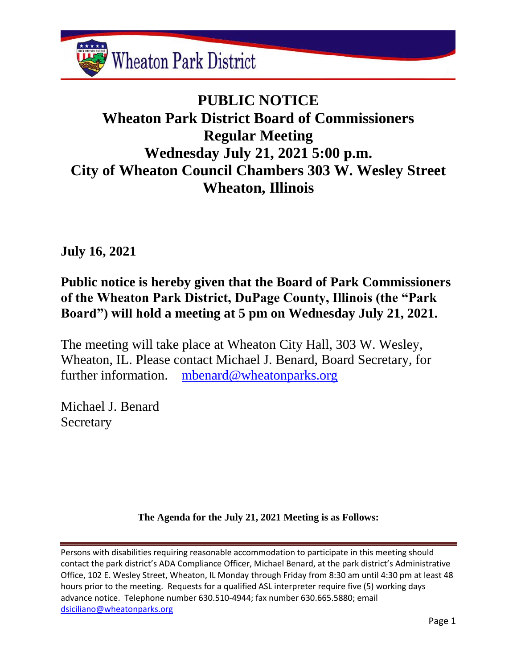

# **PUBLIC NOTICE Wheaton Park District Board of Commissioners Regular Meeting Wednesday July 21, 2021 5:00 p.m. City of Wheaton Council Chambers 303 W. Wesley Street Wheaton, Illinois**

**July 16, 2021**

# **Public notice is hereby given that the Board of Park Commissioners of the Wheaton Park District, DuPage County, Illinois (the "Park Board") will hold a meeting at 5 pm on Wednesday July 21, 2021.**

The meeting will take place at Wheaton City Hall, 303 W. Wesley, Wheaton, IL. Please contact Michael J. Benard, Board Secretary, for further information. [mbenard@wheatonparks.org](mailto:mbenard@wheatonparks.org)

Michael J. Benard **Secretary** 

**The Agenda for the July 21, 2021 Meeting is as Follows:**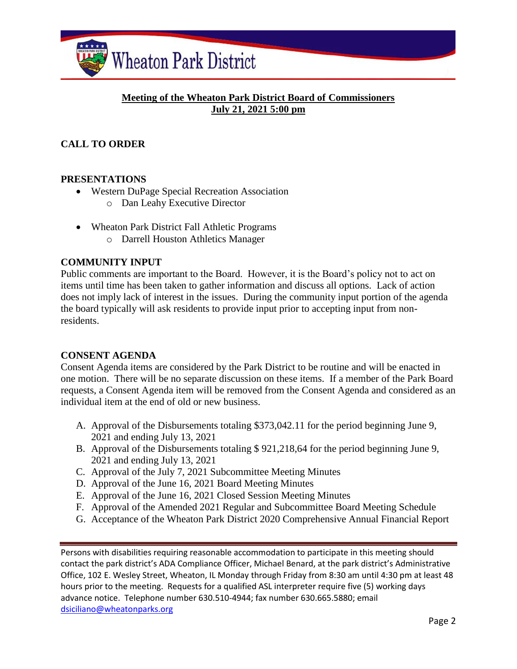

### **Meeting of the Wheaton Park District Board of Commissioners July 21, 2021 5:00 pm**

# **CALL TO ORDER**

#### **PRESENTATIONS**

- Western DuPage Special Recreation Association
	- o Dan Leahy Executive Director
- Wheaton Park District Fall Athletic Programs
	- o Darrell Houston Athletics Manager

#### **COMMUNITY INPUT**

Public comments are important to the Board. However, it is the Board's policy not to act on items until time has been taken to gather information and discuss all options. Lack of action does not imply lack of interest in the issues. During the community input portion of the agenda the board typically will ask residents to provide input prior to accepting input from nonresidents.

#### **CONSENT AGENDA**

Consent Agenda items are considered by the Park District to be routine and will be enacted in one motion. There will be no separate discussion on these items. If a member of the Park Board requests, a Consent Agenda item will be removed from the Consent Agenda and considered as an individual item at the end of old or new business.

- A. Approval of the Disbursements totaling \$373,042.11 for the period beginning June 9, 2021 and ending July 13, 2021
- B. Approval of the Disbursements totaling \$ 921,218,64 for the period beginning June 9, 2021 and ending July 13, 2021
- C. Approval of the July 7, 2021 Subcommittee Meeting Minutes
- D. Approval of the June 16, 2021 Board Meeting Minutes
- E. Approval of the June 16, 2021 Closed Session Meeting Minutes
- F. Approval of the Amended 2021 Regular and Subcommittee Board Meeting Schedule
- G. Acceptance of the Wheaton Park District 2020 Comprehensive Annual Financial Report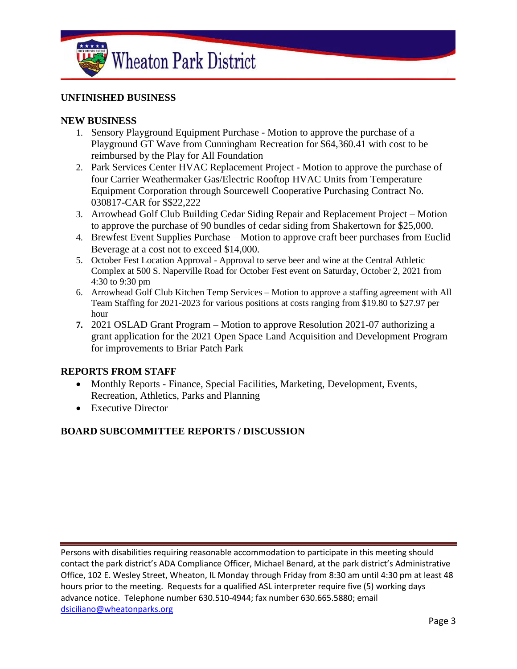

#### **UNFINISHED BUSINESS**

#### **NEW BUSINESS**

- 1. Sensory Playground Equipment Purchase Motion to approve the purchase of a Playground GT Wave from Cunningham Recreation for \$64,360.41 with cost to be reimbursed by the Play for All Foundation
- 2. Park Services Center HVAC Replacement Project Motion to approve the purchase of four Carrier Weathermaker Gas/Electric Rooftop HVAC Units from Temperature Equipment Corporation through Sourcewell Cooperative Purchasing Contract No. 030817-CAR for \$\$22,222
- 3. Arrowhead Golf Club Building Cedar Siding Repair and Replacement Project Motion to approve the purchase of 90 bundles of cedar siding from Shakertown for \$25,000.
- 4. Brewfest Event Supplies Purchase Motion to approve craft beer purchases from Euclid Beverage at a cost not to exceed \$14,000.
- 5. October Fest Location Approval Approval to serve beer and wine at the Central Athletic Complex at 500 S. Naperville Road for October Fest event on Saturday, October 2, 2021 from 4:30 to 9:30 pm
- 6. Arrowhead Golf Club Kitchen Temp Services Motion to approve a staffing agreement with All Team Staffing for 2021-2023 for various positions at costs ranging from \$19.80 to \$27.97 per hour
- **7.** 2021 OSLAD Grant Program Motion to approve Resolution 2021-07 authorizing a grant application for the 2021 Open Space Land Acquisition and Development Program for improvements to Briar Patch Park

#### **REPORTS FROM STAFF**

- Monthly Reports Finance, Special Facilities, Marketing, Development, Events, Recreation, Athletics, Parks and Planning
- Executive Director

#### **BOARD SUBCOMMITTEE REPORTS / DISCUSSION**